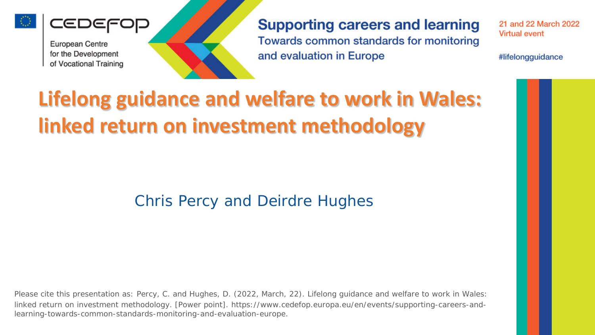



**Supporting careers and learning** Towards common standards for monitoring and evaluation in Europe

21 and 22 March 2022 **Virtual event** 

#lifelongguidance

## **Lifelong guidance and welfare to work in Wales: linked return on investment methodology**

Chris Percy and Deirdre Hughes

Please cite this presentation as: Percy, C. and Hughes, D. (2022, March, 22). Lifelong guidance and welfare to work in Wales: linked return on investment methodology. [Power point]. https://www.cedefop.europa.eu/en/events/supporting-careers-andlearning-towards-common-standards-monitoring-and-evaluation-europe.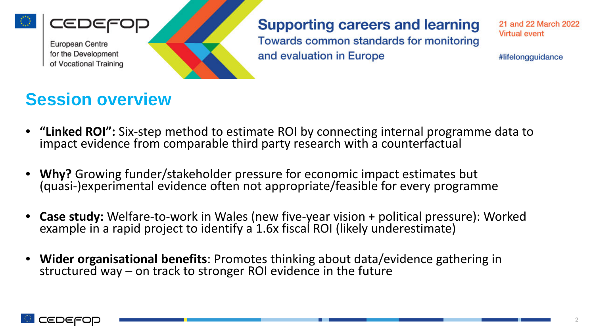

#### **Supporting careers and learning** Towards common standards for monitoring and evaluation in Europe

21 and 22 March 2022 **Virtual event** 

#lifelongguidance

### **Session overview**

- **"Linked ROI":** Six-step method to estimate ROI by connecting internal programme data to impact evidence from comparable third party research with a counterfactual
- **Why?** Growing funder/stakeholder pressure for economic impact estimates but (quasi-)experimental evidence often not appropriate/feasible for every programme
- **Case study:** Welfare-to-work in Wales (new five-year vision + political pressure): Worked example in a rapid project to identify a 1.6x fiscal ROI (likely underestimate)
- **Wider organisational benefits**: Promotes thinking about data/evidence gathering in structured way – on track to stronger ROI evidence in the future

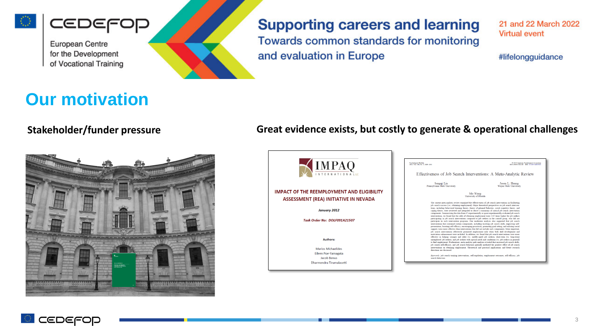



### **Supporting careers and learning**

Towards common standards for monitoring and evaluation in Europe

21 and 22 March 2022 **Virtual event** 

#lifelongguidance

### **Our motivation**



#### **Stakeholder/funder pressure Great evidence exists, but costly to generate & operational challenges**

| <b>IMPAO</b>                                      | Psychological Bulletin<br>2014, Vol. 140, No. 4, 1009-1041                                                                                                                                                                                                                                                                                                                                                                                                                                                                                                                                                                                                                                                                                        | @ 2014 American Psychological Association<br>0033-2509/14/\$12.00 DOI: 10.1037/50035923 |  |  |  |
|---------------------------------------------------|---------------------------------------------------------------------------------------------------------------------------------------------------------------------------------------------------------------------------------------------------------------------------------------------------------------------------------------------------------------------------------------------------------------------------------------------------------------------------------------------------------------------------------------------------------------------------------------------------------------------------------------------------------------------------------------------------------------------------------------------------|-----------------------------------------------------------------------------------------|--|--|--|
| NTERNATIONALLIC                                   | Effectiveness of Job Search Interventions: A Meta-Analytic Review                                                                                                                                                                                                                                                                                                                                                                                                                                                                                                                                                                                                                                                                                 |                                                                                         |  |  |  |
|                                                   | Songgi Liu<br>Pennsylvania State University                                                                                                                                                                                                                                                                                                                                                                                                                                                                                                                                                                                                                                                                                                       | Jason L. Huang<br><b>Wayne State University</b>                                         |  |  |  |
| <b>IMPACT OF THE REEMPLOYMENT AND ELIGIBILITY</b> | Mo Wang<br>University of Florida                                                                                                                                                                                                                                                                                                                                                                                                                                                                                                                                                                                                                                                                                                                  |                                                                                         |  |  |  |
| ASSESSMENT (REA) INITIATIVE IN NEVADA             | The current meta-analytic review examined the effectiveness of job search interventions in facilitating<br>job search success (i.e., obtaining employment). Major theoretical perspectives on job search interven-<br>tions, including behavioral learning theory, theory of planned behavior, social cognitive theory, and<br>coping theory, were reviewed and integrated to derive a taxonomy of critical job search intervention<br>components. Summarizing the data from 47 experimentally or quasi-experimentally evaluated job search<br>interventions, we found that the odds of obtaining employment were 2.67 times higher for job seekers                                                                                               |                                                                                         |  |  |  |
| <b>January 2012</b>                               |                                                                                                                                                                                                                                                                                                                                                                                                                                                                                                                                                                                                                                                                                                                                                   |                                                                                         |  |  |  |
| Task Order No: DOLF091A21507                      | participating in job search interventions compared to job seekers in the control group, who did not<br>participate in such intervention programs. Our moderator analysis also suggested that job search<br>interventions that contained certain components, including teaching job search skills, improving self-<br>presentation, boosting self-efficacy, encouraging proactivity, promoting goal setting, and enlisting social                                                                                                                                                                                                                                                                                                                  |                                                                                         |  |  |  |
| <b>Authors:</b>                                   | support, were more effective than interventions that did not include such components. More important,<br>job search interventions effectively promoted employment only when both skill development and<br>motivation enhancement were included. In addition, we found that job search interventions were more<br>effective in helping younger and older (vs. middle-aged) job seekers, short-term (vs. long-term)<br>unemployed job seekers, and job seekers with special needs and conditions (vs. job seekers in general)<br>to find employment. Furthermore, meta-analytic path analysis revealed that increased job search skills.<br>job search self-efficacy, and job search behaviors partially mediated the positive effect of job search |                                                                                         |  |  |  |
| <b>Marios Michaelides</b>                         | interventions on obtaining employment. Theoretical and practical implications and future research<br>directions are discussed.                                                                                                                                                                                                                                                                                                                                                                                                                                                                                                                                                                                                                    |                                                                                         |  |  |  |
| Eileen Poe-Yamagata                               | Keywords: job search training interventions, self-regulation, employment outcomes, self-efficacy, job                                                                                                                                                                                                                                                                                                                                                                                                                                                                                                                                                                                                                                             |                                                                                         |  |  |  |
| <b>Jacob Benus</b>                                | search behaviors                                                                                                                                                                                                                                                                                                                                                                                                                                                                                                                                                                                                                                                                                                                                  |                                                                                         |  |  |  |
| Dharmendra Tirumalasetti                          |                                                                                                                                                                                                                                                                                                                                                                                                                                                                                                                                                                                                                                                                                                                                                   |                                                                                         |  |  |  |

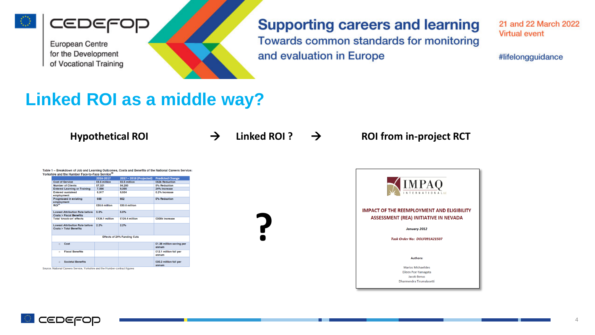

CEDEFOD



#### **Supporting careers and learning**

Towards common standards for monitoring and evaluation in Europe

21 and 22 March 2022 **Virtual event** 

#lifelongguidance

### **Linked ROI as a middle way?**

**?**

**Hypothetical ROI Linked ROI ? ROI from in-project RCT**

Table 1 - Breakdown of Job and Learning Outcomes, Costs and Benefits of the National Careers Service: Yorkshire and the Humber Face-to-Face Service<sup>38</sup>

|                                                                            | 2016-2017      | 2017 - 2018 (Projected) | <b>Predicted Change</b>           |  |  |
|----------------------------------------------------------------------------|----------------|-------------------------|-----------------------------------|--|--|
| <b>Cost of Service</b>                                                     | £5.6 million   | £5.5 million            | £62k Reduction                    |  |  |
| <b>Number of Clients</b>                                                   | 57.321         | 54.280                  | 5% Reduction                      |  |  |
| <b>Entered Learning or Training</b>                                        | 7.566          | 9,390                   | 24% Increase                      |  |  |
| <b>Entered sustained</b><br>employment                                     | 9.917          | 9.934                   | 0.2% Increase                     |  |  |
| <b>Progressed in existing</b><br>employment                                | 688            | 652                     | 5% Reduction                      |  |  |
| ROI <sup>40</sup>                                                          | £50.6 million  | £50.6 million           |                                   |  |  |
| <b>Lowest Attribution Rate before</b><br><b>Costs &gt; Fiscal Benefits</b> | 5.5%           | 5.5%                    |                                   |  |  |
| Total 'knock-on' effects                                                   | £126.1 million | £126.4 million          | £300k increase                    |  |  |
| <b>Lowest Attribution Rate before</b><br><b>Costs &gt; Total Benefits</b>  | 2.2%           | 2.2%                    |                                   |  |  |
| <b>Effects of 24% Funding Cuts</b>                                         |                |                         |                                   |  |  |
| Cost<br>$\circ$                                                            |                |                         | £1.38 million saving per<br>annum |  |  |
| <b>Fiscal Benefits</b><br>$\circ$                                          |                |                         | £12.1 million fall per<br>annum   |  |  |
| <b>Societal Benefits</b><br>$\Omega$                                       |                |                         | £30.2 million fall per<br>annum   |  |  |

Source: National Careers Service, Yorkshire and the Humber contract figures



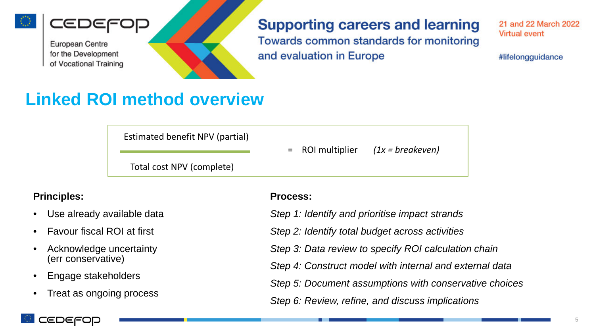



### **Supporting careers and learning**

Towards common standards for monitoring and evaluation in Europe

21 and 22 March 2022 **Virtual event** 

#lifelongguidance

### **Linked ROI method overview**

Estimated benefit NPV (partial)

= ROI multiplier *(1x = breakeven)*

Total cost NPV (complete)

#### **Principles:**

- Use already available data
- Favour fiscal ROI at first
- Acknowledge uncertainty (err conservative)
- Engage stakeholders
- Treat as ongoing process

#### **Process:**

*Step 1: Identify and prioritise impact strands Step 2: Identify total budget across activities Step 3: Data review to specify ROI calculation chain Step 4: Construct model with internal and external data Step 5: Document assumptions with conservative choices Step 6: Review, refine, and discuss implications*

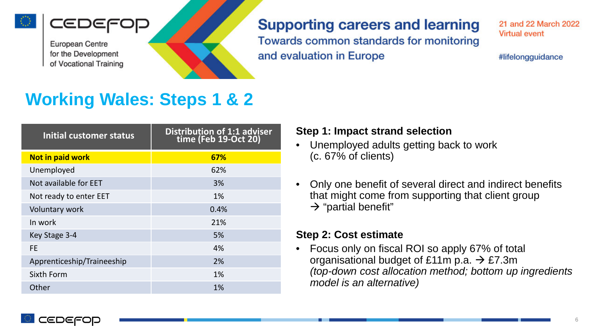



#### **Supporting careers and learning**

Towards common standards for monitoring and evaluation in Europe

21 and 22 March 2022 **Virtual event** 

#lifelongguidance

### **Working Wales: Steps 1 & 2**

| <b>Initial customer status</b> | Distribution of 1:1 adviser<br>time (Feb 19-Oct 20) |  |  |
|--------------------------------|-----------------------------------------------------|--|--|
| Not in paid work               | 67%                                                 |  |  |
| Unemployed                     | 62%                                                 |  |  |
| Not available for EET          | 3%                                                  |  |  |
| Not ready to enter EET         | $1\%$                                               |  |  |
| Voluntary work                 | 0.4%                                                |  |  |
| In work                        | 21%                                                 |  |  |
| Key Stage 3-4                  | 5%                                                  |  |  |
| <b>FE</b>                      | 4%                                                  |  |  |
| Apprenticeship/Traineeship     | 2%                                                  |  |  |
| Sixth Form                     | 1%                                                  |  |  |
| Other                          | 1%                                                  |  |  |

#### **Step 1: Impact strand selection**

- Unemployed adults getting back to work (c. 67% of clients)
- Only one benefit of several direct and indirect benefits that might come from supporting that client group  $\rightarrow$  "partial benefit"

#### **Step 2: Cost estimate**

• Focus only on fiscal ROI so apply 67% of total organisational budget of £11m p.a.  $\rightarrow$  £7.3m *(top-down cost allocation method; bottom up ingredients model is an alternative)*

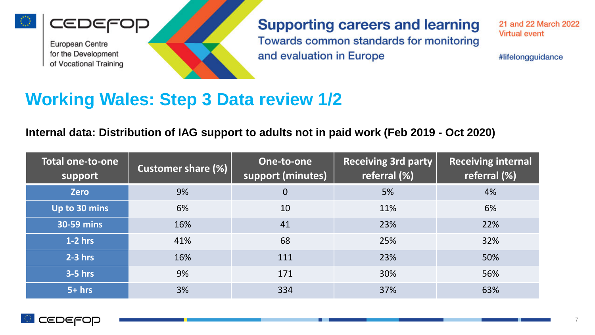



of Vocational Training



21 and 22 March 2022 **Virtual event** 

#lifelongguidance

### **Working Wales: Step 3 Data review 1/2**

#### **Internal data: Distribution of IAG support to adults not in paid work (Feb 2019 - Oct 2020)**

| <b>Total one-to-one</b><br>support | <b>Customer share (%)</b> | One-to-one<br>support (minutes) | <b>Receiving 3rd party</b><br>referral (%) | <b>Receiving internal</b><br>referral (%) |
|------------------------------------|---------------------------|---------------------------------|--------------------------------------------|-------------------------------------------|
| <b>Zero</b>                        | 9%                        | $\overline{0}$                  | 5%                                         | 4%                                        |
| Up to 30 mins                      | 6%                        | 10                              | 11%                                        | 6%                                        |
| 30-59 mins                         | 16%                       | 41                              | 23%                                        | 22%                                       |
| $1-2$ hrs                          | 41%                       | 68                              | 25%                                        | 32%                                       |
| $2-3$ hrs                          | 16%                       | 111                             | 23%                                        | 50%                                       |
| <b>3-5 hrs</b>                     | 9%                        | 171                             | 30%                                        | 56%                                       |
| $5+ hrs$                           | 3%                        | 334                             | 37%                                        | 63%                                       |

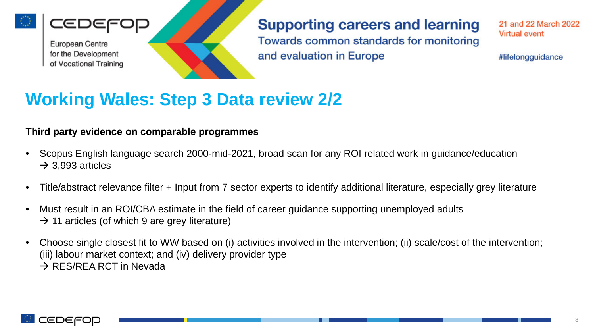

**Supporting careers and learning** Towards common standards for monitoring and evaluation in Europe

21 and 22 March 2022 **Virtual event** 

#lifelongguidance

### **Working Wales: Step 3 Data review 2/2**

#### **Third party evidence on comparable programmes**

- Scopus English language search 2000-mid-2021, broad scan for any ROI related work in guidance/education  $\rightarrow$  3,993 articles
- Title/abstract relevance filter + Input from 7 sector experts to identify additional literature, especially grey literature
- Must result in an ROI/CBA estimate in the field of career guidance supporting unemployed adults  $\rightarrow$  11 articles (of which 9 are grey literature)
- Choose single closest fit to WW based on (i) activities involved in the intervention; (ii) scale/cost of the intervention; (iii) labour market context; and (iv) delivery provider type  $\rightarrow$  RES/REA RCT in Nevada

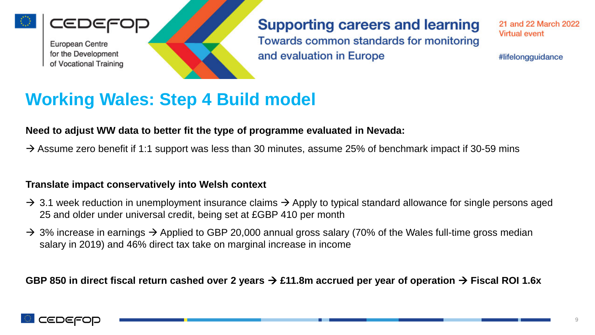

 $\equiv$ 

**Supporting careers and learning** Towards common standards for monitoring and evaluation in Europe

21 and 22 March 2022 **Virtual event** 

#lifelongguidance

### **Working Wales: Step 4 Build model**

#### **Need to adjust WW data to better fit the type of programme evaluated in Nevada:**

 $\rightarrow$  Assume zero benefit if 1:1 support was less than 30 minutes, assume 25% of benchmark impact if 30-59 mins

#### **Translate impact conservatively into Welsh context**

- $\rightarrow$  3.1 week reduction in unemployment insurance claims  $\rightarrow$  Apply to typical standard allowance for single persons aged 25 and older under universal credit, being set at £GBP 410 per month
- $\rightarrow$  3% increase in earnings  $\rightarrow$  Applied to GBP 20,000 annual gross salary (70% of the Wales full-time gross median salary in 2019) and 46% direct tax take on marginal increase in income

GBP 850 in direct fiscal return cashed over 2 years → £11.8m accrued per year of operation → Fiscal ROI 1.6x

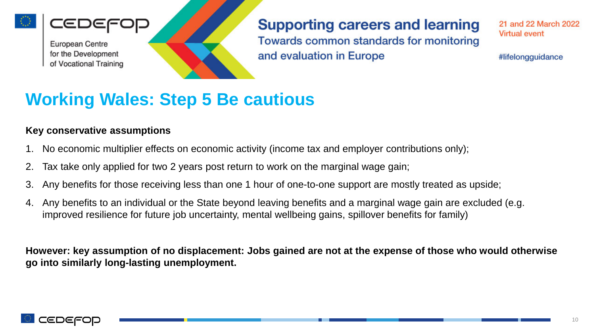



**Supporting careers and learning** Towards common standards for monitoring and evaluation in Europe

21 and 22 March 2022 **Virtual event** 

#lifelongguidance

### **Working Wales: Step 5 Be cautious**

#### **Key conservative assumptions**

- 1. No economic multiplier effects on economic activity (income tax and employer contributions only);
- 2. Tax take only applied for two 2 years post return to work on the marginal wage gain;
- 3. Any benefits for those receiving less than one 1 hour of one-to-one support are mostly treated as upside;
- 4. Any benefits to an individual or the State beyond leaving benefits and a marginal wage gain are excluded (e.g. improved resilience for future job uncertainty, mental wellbeing gains, spillover benefits for family)

**However: key assumption of no displacement: Jobs gained are not at the expense of those who would otherwise go into similarly long-lasting unemployment.**

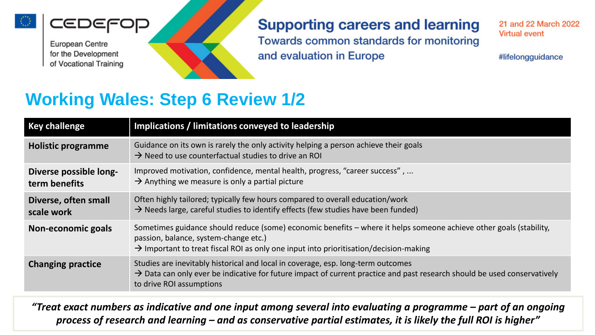





21 and 22 March 2022 **Virtual event** 

#lifelongguidance

### **Working Wales: Step 6 Review 1/2**

| <b>Key challenge</b>                    | Implications / limitations conveyed to leadership                                                                                                                                                                                                                |
|-----------------------------------------|------------------------------------------------------------------------------------------------------------------------------------------------------------------------------------------------------------------------------------------------------------------|
| <b>Holistic programme</b>               | Guidance on its own is rarely the only activity helping a person achieve their goals<br>$\rightarrow$ Need to use counterfactual studies to drive an ROI                                                                                                         |
| Diverse possible long-<br>term benefits | Improved motivation, confidence, mental health, progress, "career success",<br>$\rightarrow$ Anything we measure is only a partial picture                                                                                                                       |
| Diverse, often small<br>scale work      | Often highly tailored; typically few hours compared to overall education/work<br>$\rightarrow$ Needs large, careful studies to identify effects (few studies have been funded)                                                                                   |
| Non-economic goals                      | Sometimes guidance should reduce (some) economic benefits - where it helps someone achieve other goals (stability,<br>passion, balance, system-change etc.)<br>$\rightarrow$ Important to treat fiscal ROI as only one input into prioritisation/decision-making |
| <b>Changing practice</b>                | Studies are inevitably historical and local in coverage, esp. long-term outcomes<br>$\rightarrow$ Data can only ever be indicative for future impact of current practice and past research should be used conservatively<br>to drive ROI assumptions             |

*"Treat exact numbers as indicative and one input among several into evaluating a programme – part of an ongoing process of research and learning – and as conservative partial estimates, it is likely the full ROI is higher"*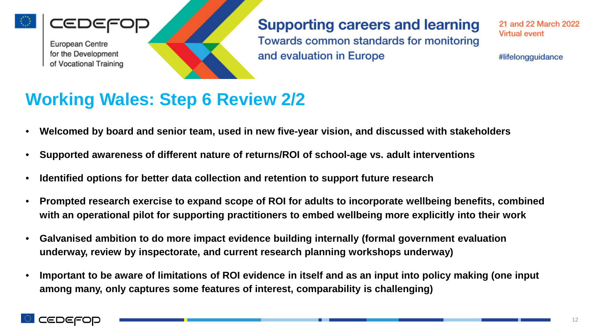

**Supporting careers and learning** Towards common standards for monitoring and evaluation in Europe

21 and 22 March 2022 **Virtual event** 

#lifelongguidance

### **Working Wales: Step 6 Review 2/2**

- **Welcomed by board and senior team, used in new five-year vision, and discussed with stakeholders**
- **Supported awareness of different nature of returns/ROI of school-age vs. adult interventions**
- **Identified options for better data collection and retention to support future research**
- **Prompted research exercise to expand scope of ROI for adults to incorporate wellbeing benefits, combined with an operational pilot for supporting practitioners to embed wellbeing more explicitly into their work**
- **Galvanised ambition to do more impact evidence building internally (formal government evaluation underway, review by inspectorate, and current research planning workshops underway)**
- **Important to be aware of limitations of ROI evidence in itself and as an input into policy making (one input among many, only captures some features of interest, comparability is challenging)**

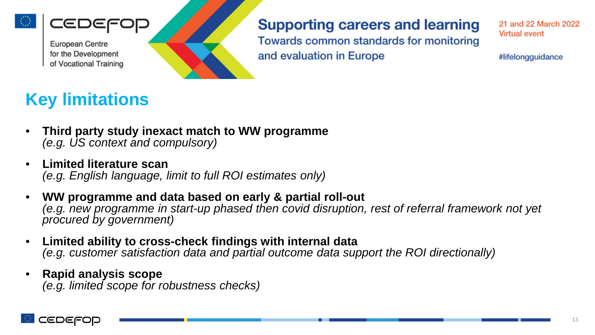



of Vocational Training

#### **Supporting careers and learning**

Towards common standards for monitoring and evaluation in Europe

21 and 22 March 2022 **Virtual event** 

#lifelongguidance

### **Key limitations**

- **Third party study inexact match to WW programme**  *(e.g. US context and compulsory)*
- **Limited literature scan**  *(e.g. English language, limit to full ROI estimates only)*
- **WW programme and data based on early & partial roll-out**  *(e.g. new programme in start-up phased then covid disruption, rest of referral framework not yet procured by government)*
- **Limited ability to cross-check findings with internal data**  *(e.g. customer satisfaction data and partial outcome data support the ROI directionally)*
- **Rapid analysis scope** *(e.g. limited scope for robustness checks)*

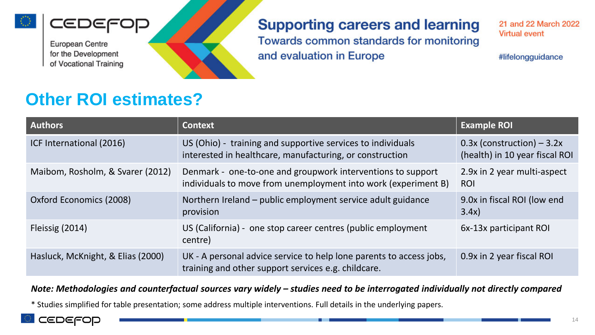





#### **Supporting careers and learning**

Towards common standards for monitoring and evaluation in Europe

21 and 22 March 2022 **Virtual event** 

#lifelongguidance

### **Other ROI estimates?**

| <b>Authors</b>                    | <b>Context</b>                                                                                                                | <b>Example ROI</b>                                             |
|-----------------------------------|-------------------------------------------------------------------------------------------------------------------------------|----------------------------------------------------------------|
| ICF International (2016)          | US (Ohio) - training and supportive services to individuals<br>interested in healthcare, manufacturing, or construction       | $0.3x$ (construction) – 3.2x<br>(health) in 10 year fiscal ROI |
| Maibom, Rosholm, & Svarer (2012)  | Denmark - one-to-one and groupwork interventions to support<br>individuals to move from unemployment into work (experiment B) | 2.9x in 2 year multi-aspect<br><b>ROI</b>                      |
| Oxford Economics (2008)           | Northern Ireland – public employment service adult guidance<br>provision                                                      | 9.0x in fiscal ROI (low end<br>3.4x)                           |
| Fleissig $(2014)$                 | US (California) - one stop career centres (public employment<br>centre)                                                       | 6x-13x participant ROI                                         |
| Hasluck, McKnight, & Elias (2000) | UK - A personal advice service to help lone parents to access jobs,<br>training and other support services e.g. childcare.    | 0.9x in 2 year fiscal ROI                                      |

#### *Note: Methodologies and counterfactual sources vary widely – studies need to be interrogated individually not directly compared*

\* Studies simplified for table presentation; some address multiple interventions. Full details in the underlying papers.

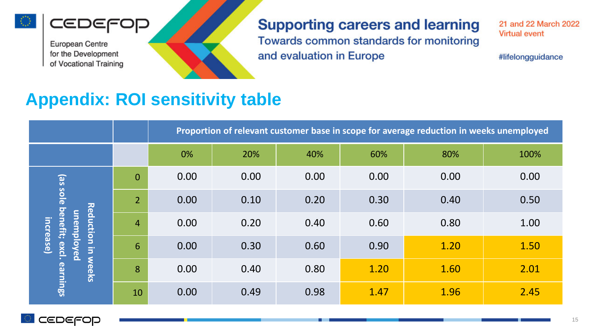



### **Supporting careers and learning**

Towards common standards for monitoring and evaluation in Europe

21 and 22 March 2022 **Virtual event** 

#lifelongguidance

### **Appendix: ROI sensitivity table**

|                                                                                                                  |                | Proportion of relevant customer base in scope for average reduction in weeks unemployed |      |      |      |      |      |
|------------------------------------------------------------------------------------------------------------------|----------------|-----------------------------------------------------------------------------------------|------|------|------|------|------|
|                                                                                                                  |                | 0%                                                                                      | 20%  | 40%  | 60%  | 80%  | 100% |
| (as sole benefit;<br>Reduction<br><u>unemploy</u><br>increase)<br>excl.<br>lэ,<br><b>Pa</b><br>weeks<br>earnings | $\overline{0}$ | 0.00                                                                                    | 0.00 | 0.00 | 0.00 | 0.00 | 0.00 |
|                                                                                                                  | $\overline{2}$ | 0.00                                                                                    | 0.10 | 0.20 | 0.30 | 0.40 | 0.50 |
|                                                                                                                  | $\overline{4}$ | 0.00                                                                                    | 0.20 | 0.40 | 0.60 | 0.80 | 1.00 |
|                                                                                                                  | 6              | 0.00                                                                                    | 0.30 | 0.60 | 0.90 | 1.20 | 1.50 |
|                                                                                                                  | 8              | 0.00                                                                                    | 0.40 | 0.80 | 1.20 | 1.60 | 2.01 |
|                                                                                                                  | 10             | 0.00                                                                                    | 0.49 | 0.98 | 1.47 | 1.96 | 2.45 |